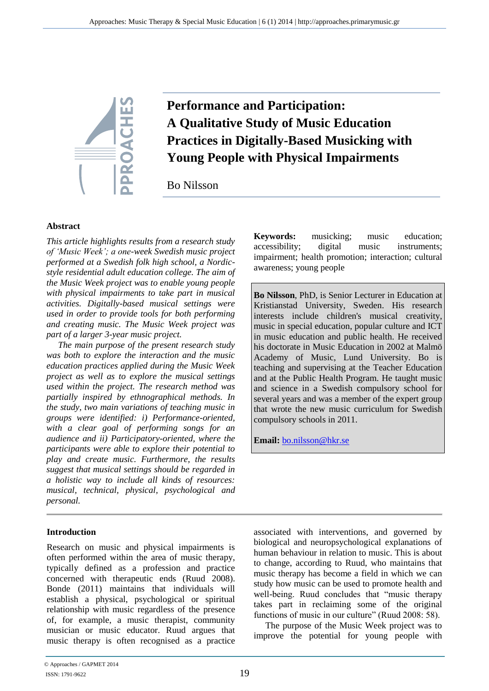

# **Performance and Participation: A Qualitative Study of Music Education Practices in Digitally-Based Musicking with Young People with Physical Impairments**

Bo Nilsson

#### **Abstract**

*This article highlights results from a research study of 'Music Week'; a one-week Swedish music project performed at a Swedish folk high school, a Nordicstyle residential adult education college. The aim of the Music Week project was to enable young people with physical impairments to take part in musical activities. Digitally-based musical settings were used in order to provide tools for both performing and creating music. The Music Week project was part of a larger 3-year music project.*

*The main purpose of the present research study was both to explore the interaction and the music education practices applied during the Music Week project as well as to explore the musical settings used within the project. The research method was partially inspired by ethnographical methods. In the study, two main variations of teaching music in groups were identified: i) Performance-oriented, with a clear goal of performing songs for an audience and ii) Participatory-oriented, where the participants were able to explore their potential to play and create music. Furthermore, the results suggest that musical settings should be regarded in a holistic way to include all kinds of resources: musical, technical, physical, psychological and personal.*

#### **Introduction**

Research on music and physical impairments is often performed within the area of music therapy, typically defined as a profession and practice concerned with therapeutic ends (Ruud 2008). Bonde (2011) maintains that individuals will establish a physical, psychological or spiritual relationship with music regardless of the presence of, for example, a music therapist, community musician or music educator. Ruud argues that music therapy is often recognised as a practice **Keywords:** musicking; music education; accessibility; digital music instruments; impairment; health promotion; interaction; cultural awareness; young people

**Bo Nilsson**, PhD, is Senior Lecturer in Education at Kristianstad University, Sweden. His research interests include children's musical creativity, music in special education, popular culture and ICT in music education and public health. He received his doctorate in Music Education in 2002 at Malmö Academy of Music, Lund University. Bo is teaching and supervising at the Teacher Education and at the Public Health Program. He taught music and science in a Swedish compulsory school for several years and was a member of the expert group that wrote the new music curriculum for Swedish compulsory schools in 2011.

**Email:** [bo.nilsson@hkr.se](mailto:bo.nilsson@hkr.se)

associated with interventions, and governed by biological and neuropsychological explanations of human behaviour in relation to music. This is about to change, according to Ruud, who maintains that music therapy has become a field in which we can study how music can be used to promote health and well-being. Ruud concludes that "music therapy takes part in reclaiming some of the original functions of music in our culture" (Ruud 2008: 58).

The purpose of the Music Week project was to improve the potential for young people with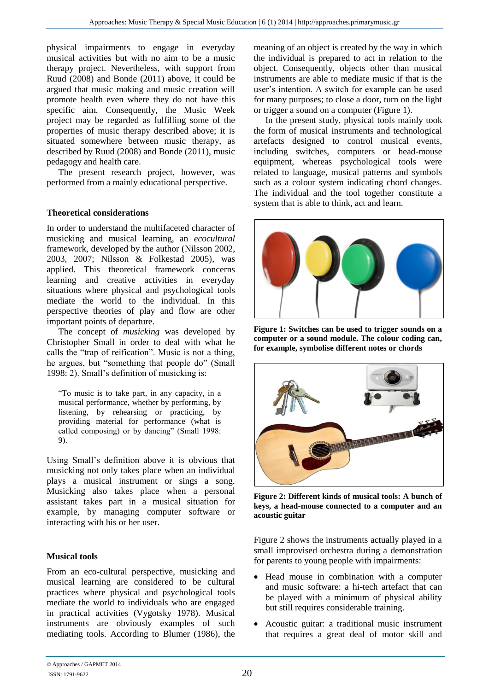physical impairments to engage in everyday musical activities but with no aim to be a music therapy project. Nevertheless, with support from Ruud (2008) and Bonde (2011) above, it could be argued that music making and music creation will promote health even where they do not have this specific aim. Consequently, the Music Week project may be regarded as fulfilling some of the properties of music therapy described above; it is situated somewhere between music therapy, as described by Ruud (2008) and Bonde (2011), music pedagogy and health care.

The present research project, however, was performed from a mainly educational perspective.

#### **Theoretical considerations**

In order to understand the multifaceted character of musicking and musical learning, an *ecocultural* framework, developed by the author (Nilsson 2002, 2003, 2007; Nilsson & Folkestad 2005), was applied. This theoretical framework concerns learning and creative activities in everyday situations where physical and psychological tools mediate the world to the individual. In this perspective theories of play and flow are other important points of departure.

The concept of *musicking* was developed by Christopher Small in order to deal with what he calls the "trap of reification". Music is not a thing, he argues, but "something that people do" (Small 1998: 2). Small's definition of musicking is:

"To music is to take part, in any capacity, in a musical performance, whether by performing, by listening, by rehearsing or practicing, by providing material for performance (what is called composing) or by dancing" (Small 1998: 9).

Using Small's definition above it is obvious that musicking not only takes place when an individual plays a musical instrument or sings a song. Musicking also takes place when a personal assistant takes part in a musical situation for example, by managing computer software or interacting with his or her user.

## **Musical tools**

From an eco-cultural perspective, musicking and musical learning are considered to be cultural practices where physical and psychological tools mediate the world to individuals who are engaged in practical activities (Vygotsky 1978). Musical instruments are obviously examples of such mediating tools. According to Blumer (1986), the meaning of an object is created by the way in which the individual is prepared to act in relation to the object. Consequently, objects other than musical instruments are able to mediate music if that is the user's intention. A switch for example can be used for many purposes; to close a door, turn on the light or trigger a sound on a computer (Figure 1).

In the present study, physical tools mainly took the form of musical instruments and technological artefacts designed to control musical events, including switches, computers or head-mouse equipment, whereas psychological tools were related to language, musical patterns and symbols such as a colour system indicating chord changes. The individual and the tool together constitute a system that is able to think, act and learn.



**Figure 1: Switches can be used to trigger sounds on a computer or a sound module. The colour coding can, for example, symbolise different notes or chords**



**Figure 2: Different kinds of musical tools: A bunch of keys, a head-mouse connected to a computer and an acoustic guitar**

Figure 2 shows the instruments actually played in a small improvised orchestra during a demonstration for parents to young people with impairments:

- Head mouse in combination with a computer and music software: a hi-tech artefact that can be played with a minimum of physical ability but still requires considerable training.
- Acoustic guitar: a traditional music instrument that requires a great deal of motor skill and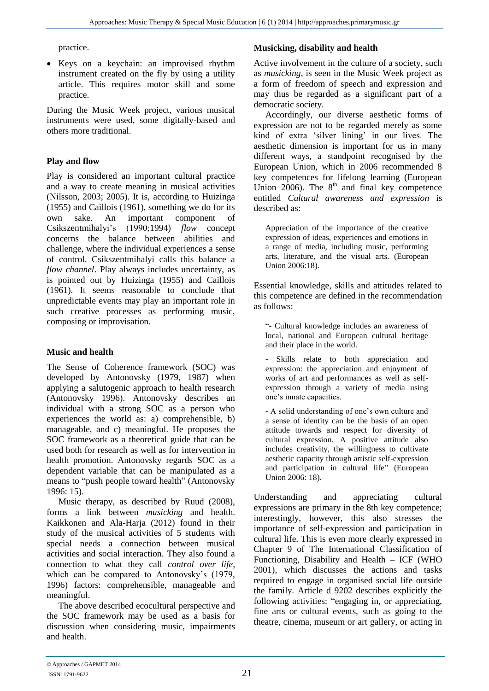practice.

• Keys on a keychain: an improvised rhythm instrument created on the fly by using a utility article. This requires motor skill and some practice.

During the Music Week project, various musical instruments were used, some digitally-based and others more traditional.

## **Play and flow**

Play is considered an important cultural practice and a way to create meaning in musical activities (Nilsson, 2003; 2005). It is, according to Huizinga (1955) and Caillois (1961), something we do for its own sake. An important component of Csikszentmihalyi's (1990;1994) *flow* concept concerns the balance between abilities and challenge, where the individual experiences a sense of control. Csikszentmihalyi calls this balance a *flow channel*. Play always includes uncertainty, as is pointed out by Huizinga (1955) and Caillois (1961). It seems reasonable to conclude that unpredictable events may play an important role in such creative processes as performing music, composing or improvisation.

## **Music and health**

The Sense of Coherence framework (SOC) was developed by Antonovsky (1979, 1987) when applying a salutogenic approach to health research (Antonovsky 1996). Antonovsky describes an individual with a strong SOC as a person who experiences the world as: a) comprehensible, b) manageable, and c) meaningful. He proposes the SOC framework as a theoretical guide that can be used both for research as well as for intervention in health promotion. Antonovsky regards SOC as a dependent variable that can be manipulated as a means to "push people toward health" (Antonovsky 1996: 15).

Music therapy, as described by Ruud (2008), forms a link between *musicking* and health. Kaikkonen and Ala-Harja (2012) found in their study of the musical activities of 5 students with special needs a connection between musical activities and social interaction. They also found a connection to what they call *control over life*, which can be compared to Antonovsky's (1979, 1996) factors: comprehensible, manageable and meaningful.

The above described ecocultural perspective and the SOC framework may be used as a basis for discussion when considering music, impairments and health.

## **Musicking, disability and health**

Active involvement in the culture of a society, such as *musicking*, is seen in the Music Week project as a form of freedom of speech and expression and may thus be regarded as a significant part of a democratic society.

Accordingly, our diverse aesthetic forms of expression are not to be regarded merely as some kind of extra 'silver lining' in our lives. The aesthetic dimension is important for us in many different ways, a standpoint recognised by the European Union, which in 2006 recommended 8 key competences for lifelong learning (European Union 2006). The  $8<sup>th</sup>$  and final key competence entitled *Cultural awareness and expression* is described as:

Appreciation of the importance of the creative expression of ideas, experiences and emotions in a range of media, including music, performing arts, literature, and the visual arts*.* (European Union 2006:18).

Essential knowledge, skills and attitudes related to this competence are defined in the recommendation as follows:

"- Cultural knowledge includes an awareness of local, national and European cultural heritage and their place in the world.

Skills relate to both appreciation and expression: the appreciation and enjoyment of works of art and performances as well as selfexpression through a variety of media using one's innate capacities.

- A solid understanding of one's own culture and a sense of identity can be the basis of an open attitude towards and respect for diversity of cultural expression. A positive attitude also includes creativity, the willingness to cultivate aesthetic capacity through artistic self-expression and participation in cultural life" (European Union 2006: 18).

Understanding and appreciating cultural expressions are primary in the 8th key competence; interestingly, however, this also stresses the importance of self-expression and participation in cultural life. This is even more clearly expressed in Chapter 9 of The International Classification of Functioning, Disability and Health – ICF (WHO 2001), which discusses the actions and tasks required to engage in organised social life outside the family. Article d 9202 describes explicitly the following activities: "engaging in, or appreciating, fine arts or cultural events, such as going to the theatre, cinema, museum or art gallery, or acting in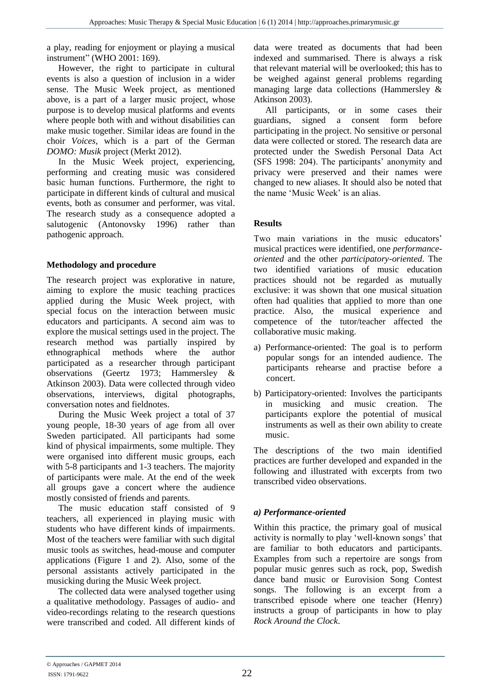a play, reading for enjoyment or playing a musical instrument" (WHO 2001: 169).

However, the right to participate in cultural events is also a question of inclusion in a wider sense. The Music Week project, as mentioned above, is a part of a larger music project, whose purpose is to develop musical platforms and events where people both with and without disabilities can make music together. Similar ideas are found in the choir *Voices*, which is a part of the German *DOMO: Musik* project (Merkt 2012).

In the Music Week project, experiencing, performing and creating music was considered basic human functions. Furthermore, the right to participate in different kinds of cultural and musical events, both as consumer and performer, was vital. The research study as a consequence adopted a salutogenic (Antonovsky 1996) rather than pathogenic approach.

#### **Methodology and procedure**

The research project was explorative in nature, aiming to explore the music teaching practices applied during the Music Week project, with special focus on the interaction between music educators and participants. A second aim was to explore the musical settings used in the project. The research method was partially inspired by ethnographical methods where the author participated as a researcher through participant observations (Geertz 1973; Hammersley & Atkinson 2003). Data were collected through video observations, interviews, digital photographs, conversation notes and fieldnotes.

During the Music Week project a total of 37 young people, 18-30 years of age from all over Sweden participated. All participants had some kind of physical impairments, some multiple. They were organised into different music groups, each with 5-8 participants and 1-3 teachers. The majority of participants were male. At the end of the week all groups gave a concert where the audience mostly consisted of friends and parents.

The music education staff consisted of 9 teachers, all experienced in playing music with students who have different kinds of impairments. Most of the teachers were familiar with such digital music tools as switches, head-mouse and computer applications (Figure 1 and 2). Also, some of the personal assistants actively participated in the musicking during the Music Week project.

The collected data were analysed together using a qualitative methodology. Passages of audio- and video-recordings relating to the research questions were transcribed and coded. All different kinds of data were treated as documents that had been indexed and summarised. There is always a risk that relevant material will be overlooked; this has to be weighed against general problems regarding managing large data collections (Hammersley & Atkinson 2003).

All participants, or in some cases their guardians, signed a consent form before participating in the project. No sensitive or personal data were collected or stored. The research data are protected under the Swedish Personal Data Act (SFS 1998: 204). The participants' anonymity and privacy were preserved and their names were changed to new aliases. It should also be noted that the name 'Music Week' is an alias.

#### **Results**

Two main variations in the music educators' musical practices were identified, one *performanceoriented* and the other *participatory-oriented*. The two identified variations of music education practices should not be regarded as mutually exclusive: it was shown that one musical situation often had qualities that applied to more than one practice. Also, the musical experience and competence of the tutor/teacher affected the collaborative music making.

- a) Performance-oriented: The goal is to perform popular songs for an intended audience. The participants rehearse and practise before a concert.
- b) Participatory-oriented: Involves the participants in musicking and music creation. The participants explore the potential of musical instruments as well as their own ability to create music.

The descriptions of the two main identified practices are further developed and expanded in the following and illustrated with excerpts from two transcribed video observations.

## *a) Performance-oriented*

Within this practice, the primary goal of musical activity is normally to play 'well-known songs' that are familiar to both educators and participants. Examples from such a repertoire are songs from popular music genres such as rock, pop, Swedish dance band music or Eurovision Song Contest songs. The following is an excerpt from a transcribed episode where one teacher (Henry) instructs a group of participants in how to play *Rock Around the Clock*.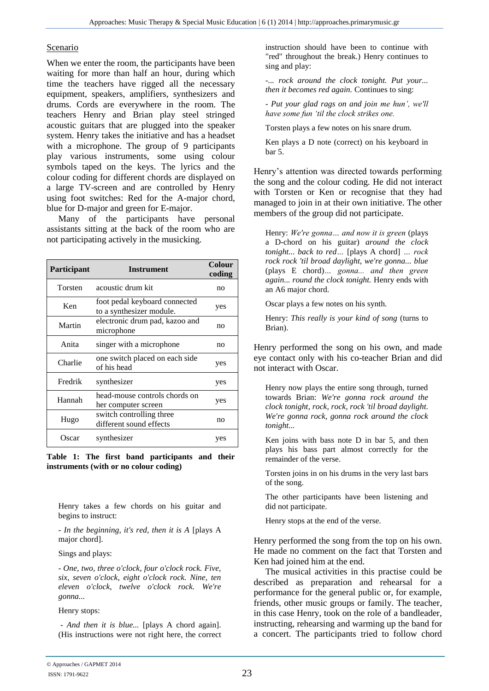#### **Scenario**

When we enter the room, the participants have been waiting for more than half an hour, during which time the teachers have rigged all the necessary equipment, speakers, amplifiers, synthesizers and drums. Cords are everywhere in the room. The teachers Henry and Brian play steel stringed acoustic guitars that are plugged into the speaker system. Henry takes the initiative and has a headset with a microphone. The group of 9 participants play various instruments, some using colour symbols taped on the keys. The lyrics and the colour coding for different chords are displayed on a large TV-screen and are controlled by Henry using foot switches: Red for the A-major chord, blue for D-major and green for E-major.

Many of the participants have personal assistants sitting at the back of the room who are not participating actively in the musicking.

| Participant | <b>Instrument</b>                                         | <b>Colour</b><br>coding |
|-------------|-----------------------------------------------------------|-------------------------|
| Torsten     | acoustic drum kit                                         | no                      |
| Ken         | foot pedal keyboard connected<br>to a synthesizer module. | yes                     |
| Martin      | electronic drum pad, kazoo and<br>microphone              | no                      |
| Anita       | singer with a microphone                                  | no                      |
| Charlie     | one switch placed on each side<br>of his head             | yes                     |
| Fredrik     | synthesizer                                               | yes                     |
| Hannah      | head-mouse controls chords on<br>her computer screen      | yes                     |
| Hugo        | switch controlling three<br>different sound effects       | no                      |
| Oscar       | synthesizer                                               | yes                     |

**Table 1: The first band participants and their instruments (with or no colour coding)**

Henry takes a few chords on his guitar and begins to instruct:

*- In the beginning, it's red, then it is A* [plays A major chord].

Sings and plays:

*- One, two, three o'clock, four o'clock rock. Five, six, seven o'clock, eight o'clock rock. Nine, ten eleven o'clock, twelve o'clock rock. We're gonna...*

Henry stops:

*- And then it is blue...* [plays A chord again]. (His instructions were not right here, the correct instruction should have been to continue with "red" throughout the break.) Henry continues to sing and play:

*-... rock around the clock tonight. Put your... then it becomes red again.* Continues to sing:

*- Put your glad rags on and join me hun', we'll have some fun 'til the clock strikes one.*

Torsten plays a few notes on his snare drum.

Ken plays a D note (correct) on his keyboard in bar 5.

Henry's attention was directed towards performing the song and the colour coding. He did not interact with Torsten or Ken or recognise that they had managed to join in at their own initiative. The other members of the group did not participate.

Henry: *We're gonna… and now it is green* (plays a D-chord on his guitar) *around the clock tonight... back to red…* [plays A chord] *… rock rock rock 'til broad daylight, we're gonna... blue*  (plays E chord)*… gonna... and then green again... round the clock tonight.* Henry ends with an A6 major chord.

Oscar plays a few notes on his synth.

Henry: *This really is your kind of song* (turns to Brian).

Henry performed the song on his own, and made eye contact only with his co-teacher Brian and did not interact with Oscar.

Henry now plays the entire song through, turned towards Brian: *We're gonna rock around the clock tonight, rock, rock, rock 'til broad daylight. We're gonna rock, gonna rock around the clock tonight...*

Ken joins with bass note D in bar 5, and then plays his bass part almost correctly for the remainder of the verse.

Torsten joins in on his drums in the very last bars of the song.

The other participants have been listening and did not participate.

Henry stops at the end of the verse.

Henry performed the song from the top on his own. He made no comment on the fact that Torsten and Ken had joined him at the end.

The musical activities in this practise could be described as preparation and rehearsal for a performance for the general public or, for example, friends, other music groups or family. The teacher, in this case Henry, took on the role of a bandleader, instructing, rehearsing and warming up the band for a concert. The participants tried to follow chord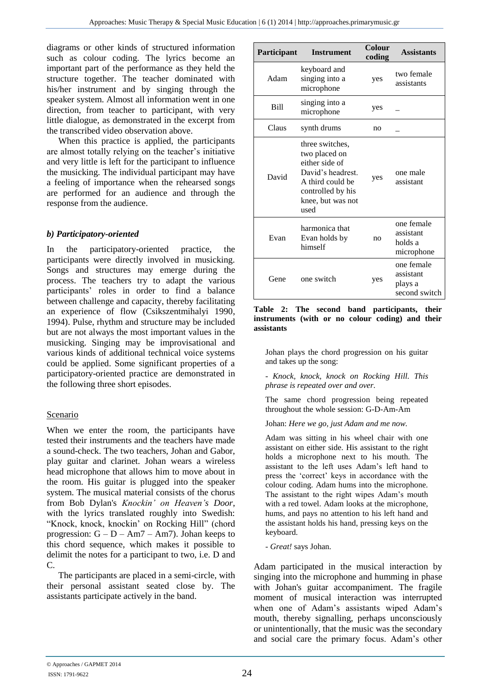diagrams or other kinds of structured information such as colour coding. The lyrics become an important part of the performance as they held the structure together. The teacher dominated with his/her instrument and by singing through the speaker system. Almost all information went in one direction, from teacher to participant, with very little dialogue, as demonstrated in the excerpt from the transcribed video observation above.

When this practice is applied, the participants are almost totally relying on the teacher's initiative and very little is left for the participant to influence the musicking. The individual participant may have a feeling of importance when the rehearsed songs are performed for an audience and through the response from the audience.

#### *b) Participatory-oriented*

In the participatory-oriented practice, the participants were directly involved in musicking. Songs and structures may emerge during the process. The teachers try to adapt the various participants' roles in order to find a balance between challenge and capacity, thereby facilitating an experience of flow (Csikszentmihalyi 1990, 1994). Pulse, rhythm and structure may be included but are not always the most important values in the musicking. Singing may be improvisational and various kinds of additional technical voice systems could be applied. Some significant properties of a participatory-oriented practice are demonstrated in the following three short episodes.

#### Scenario

When we enter the room, the participants have tested their instruments and the teachers have made a sound-check. The two teachers, Johan and Gabor, play guitar and clarinet. Johan wears a wireless head microphone that allows him to move about in the room. His guitar is plugged into the speaker system. The musical material consists of the chorus from Bob Dylan's *Knockin' on Heaven's Door*, with the lyrics translated roughly into Swedish: "Knock, knock, knockin' on Rocking Hill" (chord progression:  $G - D - Am7 - Am7$ ). Johan keeps to this chord sequence, which makes it possible to delimit the notes for a participant to two, i.e. D and C.

The participants are placed in a semi-circle, with their personal assistant seated close by. The assistants participate actively in the band.

| Participant | <b>Instrument</b>                                                                                                                             | Colour<br>coding | <b>Assistants</b>                                   |
|-------------|-----------------------------------------------------------------------------------------------------------------------------------------------|------------------|-----------------------------------------------------|
| Adam        | keyboard and<br>singing into a<br>microphone                                                                                                  | yes              | two female<br>assistants                            |
| Bill        | singing into a<br>microphone                                                                                                                  | yes              |                                                     |
| Claus       | synth drums                                                                                                                                   | no               |                                                     |
| David       | three switches,<br>two placed on<br>either side of<br>David's headrest.<br>A third could be<br>controlled by his<br>knee, but was not<br>used | yes              | one male<br>assistant                               |
| Evan        | harmonica that<br>Evan holds by<br>himself                                                                                                    | no               | one female<br>assistant<br>holds a<br>microphone    |
| Gene        | one switch                                                                                                                                    | yes              | one female<br>assistant<br>plays a<br>second switch |

**Table 2: The second band participants, their instruments (with or no colour coding) and their assistants**

Johan plays the chord progression on his guitar and takes up the song:

*- Knock, knock, knock on Rocking Hill. This phrase is repeated over and over.*

The same chord progression being repeated throughout the whole session: G-D-Am-Am

Johan: *Here we go, just Adam and me now.*

Adam was sitting in his wheel chair with one assistant on either side. His assistant to the right holds a microphone next to his mouth. The assistant to the left uses Adam's left hand to press the 'correct' keys in accordance with the colour coding. Adam hums into the microphone. The assistant to the right wipes Adam's mouth with a red towel. Adam looks at the microphone, hums, and pays no attention to his left hand and the assistant holds his hand, pressing keys on the keyboard.

*- Great!* says Johan.

Adam participated in the musical interaction by singing into the microphone and humming in phase with Johan's guitar accompaniment. The fragile moment of musical interaction was interrupted when one of Adam's assistants wiped Adam's mouth, thereby signalling, perhaps unconsciously or unintentionally, that the music was the secondary and social care the primary focus. Adam's other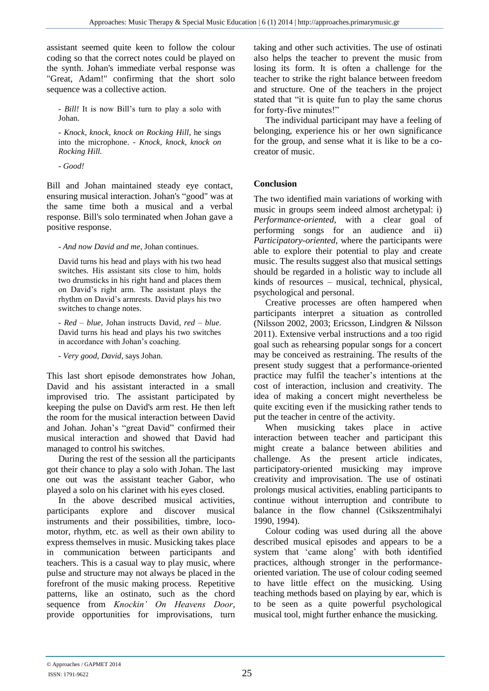assistant seemed quite keen to follow the colour coding so that the correct notes could be played on the synth. Johan's immediate verbal response was "Great, Adam!" confirming that the short solo sequence was a collective action.

*- Bill!* It is now Bill's turn to play a solo with Johan.

*- Knock, knock, knock on Rocking Hill*, he sings into the microphone. *- Knock, knock, knock on Rocking Hill.*

*- Good!* 

Bill and Johan maintained steady eye contact, ensuring musical interaction. Johan's "good" was at the same time both a musical and a verbal response. Bill's solo terminated when Johan gave a positive response.

- *And now David and me*, Johan continues.

David turns his head and plays with his two head switches. His assistant sits close to him, holds two drumsticks in his right hand and places them on David's right arm. The assistant plays the rhythm on David's armrests. David plays his two switches to change notes.

- *Red – blue*, Johan instructs David*, red – blue*. David turns his head and plays his two switches in accordance with Johan's coaching.

*- Very good, David*, says Johan.

This last short episode demonstrates how Johan, David and his assistant interacted in a small improvised trio. The assistant participated by keeping the pulse on David's arm rest. He then left the room for the musical interaction between David and Johan. Johan's "great David" confirmed their musical interaction and showed that David had managed to control his switches.

During the rest of the session all the participants got their chance to play a solo with Johan. The last one out was the assistant teacher Gabor, who played a solo on his clarinet with his eyes closed.

In the above described musical activities, participants explore and discover musical instruments and their possibilities, timbre, locomotor, rhythm, etc. as well as their own ability to express themselves in music. Musicking takes place in communication between participants and teachers. This is a casual way to play music, where pulse and structure may not always be placed in the forefront of the music making process. Repetitive patterns, like an ostinato, such as the chord sequence from *Knockin' On Heavens Door*, provide opportunities for improvisations, turn

taking and other such activities. The use of ostinati also helps the teacher to prevent the music from losing its form. It is often a challenge for the teacher to strike the right balance between freedom and structure. One of the teachers in the project stated that "it is quite fun to play the same chorus for forty-five minutes!"

The individual participant may have a feeling of belonging, experience his or her own significance for the group, and sense what it is like to be a cocreator of music.

## **Conclusion**

The two identified main variations of working with music in groups seem indeed almost archetypal: i) *Performance-oriented,* with a clear goal of performing songs for an audience and ii) *Participatory-oriented*, where the participants were able to explore their potential to play and create music. The results suggest also that musical settings should be regarded in a holistic way to include all kinds of resources – musical, technical, physical, psychological and personal.

Creative processes are often hampered when participants interpret a situation as controlled (Nilsson 2002, 2003; Ericsson, Lindgren & Nilsson 2011). Extensive verbal instructions and a too rigid goal such as rehearsing popular songs for a concert may be conceived as restraining. The results of the present study suggest that a performance-oriented practice may fulfil the teacher's intentions at the cost of interaction, inclusion and creativity. The idea of making a concert might nevertheless be quite exciting even if the musicking rather tends to put the teacher in centre of the activity.

When musicking takes place in active interaction between teacher and participant this might create a balance between abilities and challenge. As the present article indicates, participatory-oriented musicking may improve creativity and improvisation. The use of ostinati prolongs musical activities, enabling participants to continue without interruption and contribute to balance in the flow channel (Csikszentmihalyi 1990, 1994).

Colour coding was used during all the above described musical episodes and appears to be a system that 'came along' with both identified practices, although stronger in the performanceoriented variation. The use of colour coding seemed to have little effect on the musicking. Using teaching methods based on playing by ear, which is to be seen as a quite powerful psychological musical tool, might further enhance the musicking.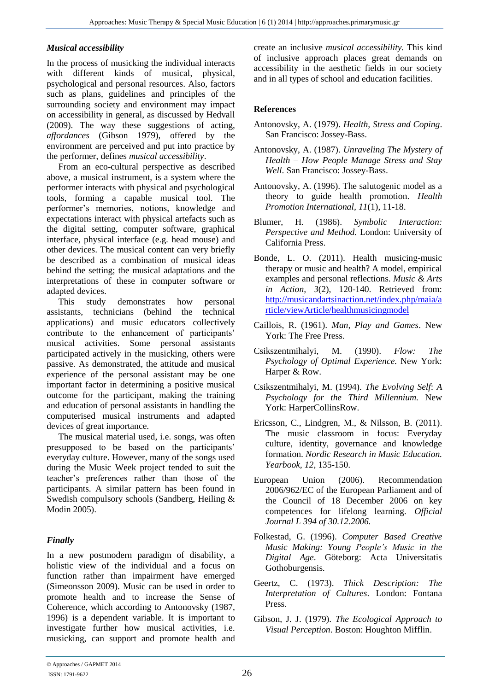## *Musical accessibility*

In the process of musicking the individual interacts with different kinds of musical, physical, psychological and personal resources. Also, factors such as plans, guidelines and principles of the surrounding society and environment may impact on accessibility in general, as discussed by Hedvall (2009). The way these suggestions of acting, *affordances* (Gibson 1979), offered by the environment are perceived and put into practice by the performer, defines *musical accessibility*.

From an eco-cultural perspective as described above, a musical instrument, is a system where the performer interacts with physical and psychological tools, forming a capable musical tool. The performer's memories, notions, knowledge and expectations interact with physical artefacts such as the digital setting, computer software, graphical interface, physical interface (e.g. head mouse) and other devices. The musical content can very briefly be described as a combination of musical ideas behind the setting; the musical adaptations and the interpretations of these in computer software or adapted devices.

This study demonstrates how personal assistants, technicians (behind the technical applications) and music educators collectively contribute to the enhancement of participants' musical activities. Some personal assistants participated actively in the musicking, others were passive. As demonstrated, the attitude and musical experience of the personal assistant may be one important factor in determining a positive musical outcome for the participant, making the training and education of personal assistants in handling the computerised musical instruments and adapted devices of great importance.

The musical material used, i.e. songs, was often presupposed to be based on the participants' everyday culture. However, many of the songs used during the Music Week project tended to suit the teacher's preferences rather than those of the participants. A similar pattern has been found in Swedish compulsory schools (Sandberg, Heiling & Modin 2005).

## *Finally*

In a new postmodern paradigm of disability, a holistic view of the individual and a focus on function rather than impairment have emerged (Simeonsson 2009). Music can be used in order to promote health and to increase the Sense of Coherence, which according to Antonovsky (1987, 1996) is a dependent variable. It is important to investigate further how musical activities, i.e. musicking, can support and promote health and

create an inclusive *musical accessibility*. This kind of inclusive approach places great demands on accessibility in the aesthetic fields in our society and in all types of school and education facilities.

## **References**

- Antonovsky, A. (1979). *Health, Stress and Coping*. San Francisco: Jossey-Bass.
- Antonovsky, A. (1987). *Unraveling The Mystery of Health – How People Manage Stress and Stay Well*. San Francisco: Jossey-Bass.
- Antonovsky, A. (1996). The salutogenic model as a theory to guide health promotion. *Health Promotion International, 11*(1), 11-18.
- Blumer, H. (1986). *Symbolic Interaction: Perspective and Method.* London: University of California Press.
- Bonde, L. O. (2011). Health musicing-music therapy or music and health? A model, empirical examples and personal reflections. *Music & Arts in Action, 3*(2), 120-140. Retrieved from: [http://musicandartsinaction.net/index.php/maia/a](http://musicandartsinaction.net/index.php/maia/article/viewArticle/healthmusicingmodel) [rticle/viewArticle/healthmusicingmodel](http://musicandartsinaction.net/index.php/maia/article/viewArticle/healthmusicingmodel)
- Caillois, R. (1961). *Man, Play and Games*. New York: The Free Press.
- Csikszentmihalyi, M. (1990). *Flow: The Psychology of Optimal Experience.* New York: Harper & Row.
- Csikszentmihalyi, M. (1994). *The Evolving Self*: *A Psychology for the Third Millennium.* New York: HarperCollinsRow.
- Ericsson, C., Lindgren, M., & Nilsson, B. (2011). The music classroom in focus: Everyday culture, identity, governance and knowledge formation. *Nordic Research in Music Education. Yearbook, 12*, 135-150.
- European Union (2006). Recommendation 2006/962/EC of the European Parliament and of the Council of 18 December 2006 on key competences for lifelong learning. *Official Journal L 394 of 30.12.2006.*
- Folkestad, G. (1996). *Computer Based Creative Music Making: Young People's Music in the Digital Age*. Göteborg: Acta Universitatis Gothoburgensis.
- Geertz, C. (1973). *Thick Description: The Interpretation of Cultures*. London: Fontana Press.
- Gibson, J. J. (1979). *The Ecological Approach to Visual Perception*. Boston: Houghton Mifflin.